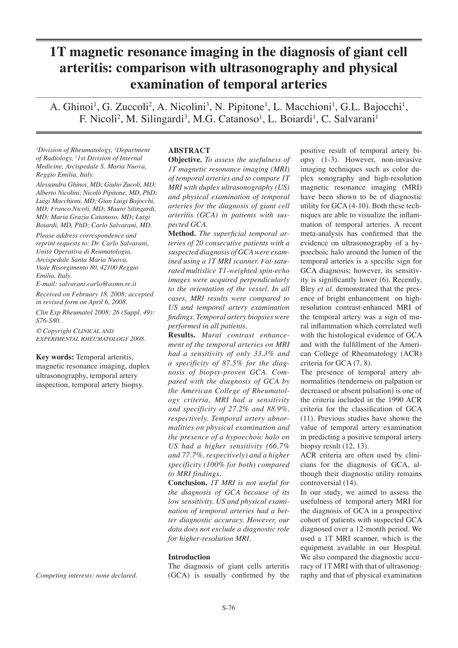# **1T magnetic resonance imaging in the diagnosis of giant cell arteritis: comparison with ultrasonography and physical examination of temporal arteries**

A. Ghinoi<sup>1</sup>, G. Zuccoli<sup>2</sup>, A. Nicolini<sup>3</sup>, N. Pipitone<sup>1</sup>, L. Macchioni<sup>1</sup>, G.L. Bajocchi<sup>1</sup>, F. Nicoli<sup>2</sup>, M. Silingardi<sup>3</sup>, M.G. Catanoso<sup>1</sup>, L. Boiardi<sup>1</sup>, C. Salvarani<sup>1</sup>

*1 Division of Rheumatology, 2 Department of Radiology, 3 1st Division of Internal Medicine, Arcispedale S. Maria Nuova, Reggio Emilia, Italy.*

*Alessandra Ghinoi, MD; Giulio Zucoli, MD; Alberto Nicolini; Nicolò Pipitone, MD, PhD; Luigi Macchioni, MD; Gian Luigi Bajocchi, MD; Franco Nicoli, MD; Mauro Silingardi, MD; Maria Grazia Catanoso, MD; Luigi Boiardi, MD, PhD; Carlo Salvarani, MD.*

*Please address correspondence and reprint requests to: Dr. Carlo Salvarani, Unità Operativa di Reumatologia, Arcispedale Santa Maria Nuova, Viale Risorgimento 80, 42100 Reggio Emilia, Italy.* 

*E-mail: salvarani.carlo@asmn.re.it*

*Received on February 18, 2008; accepted in revised form on April 6, 2008. Clin Exp Rheumatol 2008; 26 (Suppl. 49): S76-S80.*

 $©$  *Copyright CLINICAL AND*  $EXPERIMENTAL$  *RHEUMATOLOGY* 2008.

**Key words:** Temporal arteritis, magnetic resonance imaging, duplex ultrasonography, temporal artery inspection, temporal artery biopsy.

*Competing interests: none declared.*

#### **ABSTRACT**

**Objective.** *To assess the usefulness of 1T magnetic resonance imaging (MRI) of temporal arteries and to compare 1T MRI with duplex ultrasonography (US) and physical examination of temporal arteries for the diagnosis of giant cell arteritis (GCA) in patients with suspected GCA.*

**Method.** The superficial temporal ar*teries of 20 consecutive patients with a suspected diagnosis of GCA were examined using a 1T MRI scanner. Fat-saturated multislice T1-weighted spin-echo images were acquired perpendicularly to the orientation of the vessel. In all cases, MRI results were compared to US and temporal artery examination fi ndings. Temporal artery biopsies were performed in all patients.*

**Results.** *Mural contrast enhance- ural contrast enhancement of the temporal arteries on MRI had a sensitivity of only 33.3% and a specificity of 87.5% for the diagnosis of biopsy-proven GCA. Compared with the diagnosis of GCA by the American College of Rheumatology criteria, MRI had a sensitivity and specificity of 27.2% and 88.9%, respectively. Temporal artery abnormalities on physical examination and the presence of a hypoechoic halo on US had a higher sensitivity (66.7% and 77.7%, respectively) and a higher specificity (100% for both) compared to MRI findings.*

**Conclusion.** *1T MRI is not useful for the diagnosis of GCA because of its low sensitivity. US and physical examination of temporal arteries had a better diagnostic accuracy. However, our data does not exclude a diagnostic role for higher-resolution MRI.*

## **Introduction**

The diagnosis of giant cells arteritis  $(GCA)$  is usually confirmed by the

positive result of temporal artery biopsy (1-3). However, non-invasive imaging techniques such as color duplex sonography and high-resolution magnetic resonance imaging (MRI) have been shown to be of diagnostic utility for GCA (4-10). Both these techniques are able to visualize the inflammation of temporal arteries. A recent meta-analysis has confirmed that the evidence on ultrasonography of a hypoechoic halo around the lumen of the temporal arteries is a specific sign for GCA diagnosis; however, its sensitivity is significantly lower (6). Recently, Bley *et al*. demonstrated that the presence of bright enhancement on highresolution contrast-enhanced MRI of the temporal artery was a sign of mural inflammation which correlated well with the histological evidence of GCA and with the fulfillment of the American College of Rheumatology (ACR) criteria for GCA (7, 8).

The presence of temporal artery abnormalities (tenderness on palpation or decreased or absent pulsation) is one of the criteria included in the 1990 ACR criteria for the classification of GCA (11). Previous studies have shown the value of temporal artery examination in predicting a positive temporal artery biopsy result (12, 13).

ACR criteria are often used by clinicians for the diagnosis of GCA, although their diagnostic utility remains controversial (14).

In our study, we aimed to assess the usefulness of temporal artery MRI for the diagnosis of GCA in a prospective cohort of patients with suspected GCA diagnosed over a 12-month period. We used a 1T MRI scanner, which is the equipment available in our Hospital. We also compared the diagnostic accuracy of 1T MRI with that of ultrasonography and that of physical examination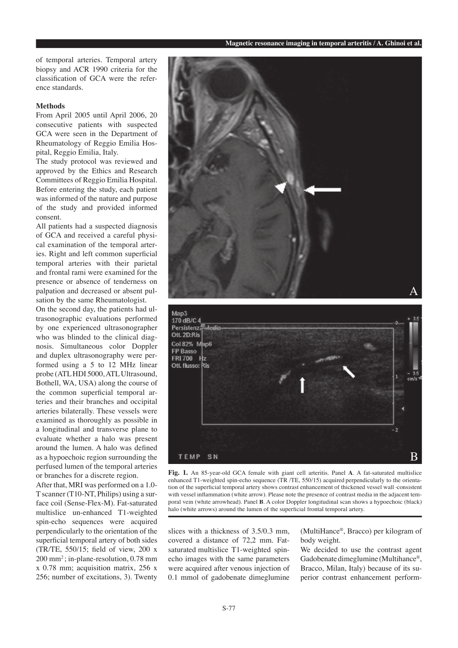of temporal arteries. Temporal artery biopsy and ACR 1990 criteria for the classification of GCA were the reference standards.

## **Methods**

From April 2005 until April 2006, 20 consecutive patients with suspected GCA were seen in the Department of Rheumatology of Reggio Emilia Hospital, Reggio Emilia, Italy.

The study protocol was reviewed and approved by the Ethics and Research Committees of Reggio Emilia Hospital. Before entering the study, each patient was informed of the nature and purpose of the study and provided informed consent.

All patients had a suspected diagnosis of GCA and received a careful physical examination of the temporal arteries. Right and left common superficial temporal arteries with their parietal and frontal rami were examined for the presence or absence of tenderness on palpation and decreased or absent pulsation by the same Rheumatologist.

On the second day, the patients had ultrasonographic evaluations performed by one experienced ultrasonographer who was blinded to the clinical diagnosis. Simultaneous color Doppler and duplex ultrasonography were performed using a 5 to 12 MHz linear probe (ATL HDI 5000, ATL Ultrasound, Bothell, WA, USA) along the course of the common superficial temporal arteries and their branches and occipital arteries bilaterally. These vessels were examined as thoroughly as possible in a longitudinal and transverse plane to evaluate whether a halo was present around the lumen. A halo was defined as a hypoechoic region surrounding the perfused lumen of the temporal arteries or branches for a discrete region.

After that, MRI was performed on a 1.0- T scanner (T10-NT, Philips) using a surface coil (Sense-Flex-M). Fat-saturated multislice un-enhanced T1-weighted spin-echo sequences were acquired perpendicularly to the orientation of the superficial temporal artery of both sides (TR/TE,  $550/15$ ; field of view,  $200 \text{ x}$ 200 mm2 ; in-plane-resolution, 0.78 mm x 0.78 mm; acquisition matrix, 256 x 256; number of excitations, 3). Twenty





**Fig. 1.** An 85-year-old GCA female with giant cell arteritis. Panel **A**. A fat-saturated multislice enhanced T1-weighted spin-echo sequence (TR /TE, 550/15) acquired perpendicularly to the orientation of the superficial temporal artery shows contrast enhancement of thickened vessel wall consistent with vessel inflammation (white arrow). Please note the presence of contrast media in the adjacent temporal vein (white arrowhead). Panel **B**. A color Doppler longitudinal scan shows a hypoechoic (black) halo (white arrows) around the lumen of the superficial frontal temporal artery.

slices with a thickness of 3.5/0.3 mm, covered a distance of 72,2 mm. Fatsaturated multislice T1-weighted spinecho images with the same parameters were acquired after venous injection of 0.1 mmol of gadobenate dimeglumine

(MultiHance®, Bracco) per kilogram of body weight.

We decided to use the contrast agent Gadobenate dimeglumine (Multihance®, Bracco, Milan, Italy) because of its superior contrast enhancement perform-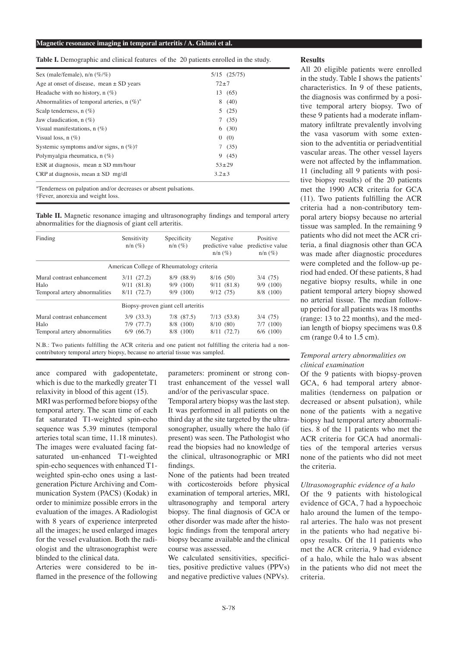#### **Magnetic resonance imaging in temporal arteritis / A. Ghinoi et al.**

**Table I.** Demographic and clinical features of the 20 patients enrolled in the study.

| Sex (male/female), $n/n$ (%/%)                       | $5/15$ $(25/75)$ |
|------------------------------------------------------|------------------|
| Age at onset of disease, mean $\pm$ SD years         | $72 + 7$         |
| Headache with no history, $n(\%)$                    | 13 (65)          |
| Abnormalities of temporal arteries, $n (\%)^*$       | 8(40)            |
| Scalp tenderness, $n$ (%)                            | 5(25)            |
| Jaw claudication, $n(\%)$                            | 7(35)            |
| Visual manifestations, $n(\%)$                       | 6(30)            |
| Visual loss, $n(\%)$                                 | 0(0)             |
| Systemic symptoms and/or signs, $n$ (%) <sup>†</sup> | 7(35)            |
| Polymyalgia rheumatica, $n(\%)$                      | 9(45)            |
| ESR at diagnosis, mean $\pm$ SD mm/hour              | $53 + 29$        |
| CRP at diagnosis, mean $\pm$ SD mg/dl                | $3.2 \pm 3$      |

\*Tenderness on palpation and/or decreases or absent pulsations.

†Fever, anorexia and weight loss.

**Table II.** Magnetic resonance imaging and ultrasonography findings and temporal artery abnormalities for the diagnosis of giant cell arteritis.

| Finding                       | Sensitivity<br>$n/n \ (\%)$ | Specificity<br>$n/n \ (\%)$               | Negative<br>$n/n \ (\%)$ | Positive<br>predictive value predictive value<br>$n/n \ (\%)$ |
|-------------------------------|-----------------------------|-------------------------------------------|--------------------------|---------------------------------------------------------------|
|                               |                             | American College of Rheumatology criteria |                          |                                                               |
| Mural contrast enhancement    | $3/11$ $(27.2)$             | $8/9$ $(88.9)$                            | 8/16(50)                 | $3/4$ (75)                                                    |
| Halo                          | 9/11(81.8)                  | 9/9(100)                                  | 9/11(81.8)               | $9/9$ (100)                                                   |
| Temporal artery abnormalities | $8/11$ $(72.7)$             | 9/9(100)                                  | 9/12(75)                 | 8/8 (100)                                                     |
|                               |                             | Biopsy-proven giant cell arteritis        |                          |                                                               |
| Mural contrast enhancement    | $3/9$ $(33.3)$              | 7/8 (87.5)                                | 7/13(53.8)               | $3/4$ (75)                                                    |
| Halo                          | $7/9$ $(77.7)$              | 8/8 (100)                                 | 8/10(80)                 | $7/7$ (100)                                                   |
| Temporal artery abnormalities | $6/9$ $(66.7)$              | 8/8 (100)                                 | 8/11(72.7)               | $6/6$ (100)                                                   |

N.B.: Two patients fulfilling the ACR criteria and one patient not fulfilling the criteria had a noncontributory temporal artery biopsy, because no arterial tissue was sampled.

ance compared with gadopentetate, which is due to the markedly greater T1 relaxivity in blood of this agent (15).

MRI was performed before biopsy ofthe temporal artery. The scan time of each fat saturated T1-weighted spin-echo sequence was 5.39 minutes (temporal arteries total scan time, 11.18 minutes). The images were evaluated facing fatsaturated un-enhanced T1-weighted spin-echo sequences with enhanced T1 weighted spin-echo ones using a lastgeneration Picture Archiving and Communication System (PACS) (Kodak) in order to minimize possible errors in the evaluation of the images. A Radiologist with 8 years of experience interpreted all the images; he used enlarged images for the vessel evaluation. Both the radiologist and the ultrasonographist were blinded to the clinical data.

Arteries were considered to be inflamed in the presence of the following parameters: prominent or strong contrast enhancement of the vessel wall and/or of the perivascular space.

Temporal artery biopsy was the last step. It was performed in all patients on the third day at the site targeted by the ultrasonographer, usually where the halo (if present) was seen. The Pathologist who read the biopsies had no knowledge of the clinical, ultrasonographic or MRI findings.

None of the patients had been treated with corticosteroids before physical examination of temporal arteries, MRI, ultrasonography and temporal artery biopsy. The final diagnosis of GCA or other disorder was made after the histologic findings from the temporal artery biopsy became available and the clinical course was assessed.

We calculated sensitivities, specificities, positive predictive values (PPVs) and negative predictive values (NPVs).

#### **Results**

All 20 eligible patients were enrolled in the study. Table I shows the patients' characteristics. In 9 of these patients, the diagnosis was confirmed by a positive temporal artery biopsy. Two of these 9 patients had a moderate inflammatory infiltrate prevalently involving the vasa vasorum with some extension to the adventitia or periadventitial vascular areas. The other vessel layers were not affected by the inflammation. 11 (including all 9 patients with positive biopsy results) of the 20 patients met the 1990 ACR criteria for GCA  $(11)$ . Two patients fulfilling the ACR criteria had a non-contributory temporal artery biopsy because no arterial tissue was sampled. In the remaining 9 patients who did not meet the ACR criteria, a final diagnosis other than GCA was made after diagnostic procedures were completed and the follow-up period had ended. Of these patients, 8 had negative biopsy results, while in one patient temporal artery biopsy showed no arterial tissue. The median followup period for all patients was 18 months (range: 13 to 22 months), and the median length of biopsy specimens was 0.8 cm (range 0.4 to 1.5 cm).

## *Temporal artery abnormalities on clinical examination*

Of the 9 patients with biopsy-proven GCA, 6 had temporal artery abnormalities (tenderness on palpation or decreased or absent pulsation), while none of the patients with a negative biopsy had temporal artery abnormalities. 8 of the 11 patients who met the ACR criteria for GCA had anormalities of the temporal arteries versus none of the patients who did not meet the criteria.

## *Ultrasonographic evidence of a halo*

Of the 9 patients with histological evidence of GCA, 7 had a hypoechoic halo around the lumen of the temporal arteries. The halo was not present in the patients who had negative biopsy results. Of the 11 patients who met the ACR criteria, 9 had evidence of a halo, while the halo was absent in the patients who did not meet the criteria.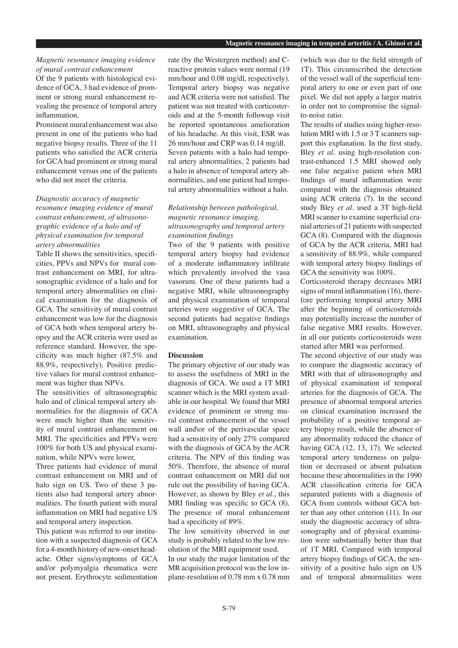## *Magnetic resonance imaging evidence of mural contrast enhancement*

Of the 9 patients with histological evidence of GCA, 3 had evidence of prominent or strong mural enhancement revealing the presence of temporal artery inflammation.

Prominent mural enhancement was also present in one of the patients who had negative biopsy results. Three of the 11 patients who satisfied the ACR criteria for GCA had prominent or strong mural enhancement versus one of the patients who did not meet the criteria.

# *Diagnostic accuracy of magnetic resonance imaging evidence of mural contrast enhancement, of ultrasonographic evidence of a halo and of physical examination for temporal artery abnormalities*

Table II shows the sensitivities, specificities, PPVs and NPVs for mural contrast enhancement on MRI, for ultrasonographic evidence of a halo and for temporal artery abnormalities on clinical examination for the diagnosis of GCA. The sensitivity of mural contrast enhancement was low for the diagnosis of GCA both when temporal artery biopsy and the ACR criteria were used as reference standard. However, the specificity was much higher  $(87.5\%$  and 88.9%, respectively). Positive predictive values for mural contrast enhancement was higher than NPVs.

The sensitivities of ultrasonographic halo and of clinical temporal artery abnormalities for the diagnosis of GCA were much higher than the sensitivity of mural contrast enhancement on MRI. The specificities and PPVs were 100% for both US and physical examination, while NPVs were lower.

Three patients had evidence of mural contrast enhancement on MRI and of halo sign on US. Two of these 3 patients also had temporal artery abnormalities. The fourth patient with mural inflammation on MRI had negative US and temporal artery inspection.

This patient was referred to our institution with a suspected diagnosis of GCA for a 4-month history of new-onset headache. Other signs/symptoms of GCA and/or polymyalgia rheumatica were not present. Erythrocyte sedimentation

rate (by the Westergren method) and Creactive protein values were normal (19 mm/hour and 0.08 mg/dl, respectively). Temporal artery biopsy was negative and ACR criteria were not satisfied. The patient was not treated with corticosteroids and at the 5-month followup visit he reported spontaneous amelioration of his headache. At this visit, ESR was 26 mm/hour and CRP was 0.14 mg/dl. Seven patients with a halo had temporal artery abnormalities, 2 patients had a halo in absence of temporal artery abnormalities, and one patient had temporal artery abnormalities without a halo.

# *Relationship between pathological, magnetic resonance imaging, ultrasonography and temporal artery examination findings*

Two of the 9 patients with positive temporal artery biopsy had evidence of a moderate inflammatory infiltrate which prevalently involved the vasa vasorum. One of these patients had a negative MRI, while ultrasonography and physical examination of temporal arteries were suggestive of GCA. The second patients had negative findings on MRI, ultrasonography and physical examination.

## **Discussion**

The primary objective of our study was to assess the usefulness of MRI in the diagnosis of GCA. We used a 1T MRI scanner which is the MRI system available in our hospital. We found that MRI evidence of prominent or strong mural contrast enhancement of the vessel wall and\or of the perivascular space had a sensitivity of only 27% compared with the diagnosis of GCA by the ACR criteria. The NPV of this finding was 50%. Therefore, the absence of mural contrast enhancement on MRI did not rule out the possibility of having GCA. However, as shown by Bley *et al*., this MRI finding was specific to  $GCA(8)$ . The presence of mural enhancement had a specificity of 89%.

The low sensitivity observed in our study is probably related to the low resolution of the MRI equipment used. In our study the major limitation of the MR acquisition protocol was the low in-

plane-resolution of 0.78 mm x 0.78 mm

(which was due to the field strength of 1T). This circumscribed the detection of the vessel wall of the superficial temporal artery to one or even part of one pixel. We did not apply a larger matrix in order not to compromise the signalto-noise ratio.

The results of studies using higher-resolution MRI with 1.5 or 3 T scanners support this explanation. In the first study, Bley *et al*. using high-resolution contrast-enhanced 1.5 MRI showed only one false negative patient when MRI findings of mural inflammation were compared with the diagnosis obtained using ACR criteria (7). In the second study Bley *et al.* used a 3T high-field MRI scanner to examine superficial cranial arteries of 21 patients with suspected GCA (8). Compared with the diagnosis of GCA by the ACR criteria, MRI had a sensitivity of 88.9%, while compared with temporal artery biopsy findings of GCA the sensitivity was 100%.

Corticosteroid therapy decreases MRI signs of mural inflammation  $(16)$ , therefore performing temporal artery MRI after the beginning of corticosteroids may potentially increase the number of false negative MRI results. However, in all our patients corticosteroids were started after MRI was performed.

The second objective of our study was to compare the diagnostic accuracy of MRI with that of ultrasonography and of physical examination of temporal arteries for the diagnosis of GCA. The presence of abnormal temporal arteries on clinical examination increased the probability of a positive temporal artery biopsy result, while the absence of any abnormality reduced the chance of having GCA (12, 13, 17). We selected temporal artery tenderness on palpation or decreased or absent pulsation because these abnormalities in the 1990 ACR classification criteria for GCA separated patients with a diagnosis of GCA from controls without GCA better than any other criterion (11). In our study the diagnostic accuracy of ultrasonography and of physical examination were substantially better than that of 1T MRI. Compared with temporal artery biopsy findings of GCA, the sensitivity of a positive halo sign on US and of temporal abnormalities were